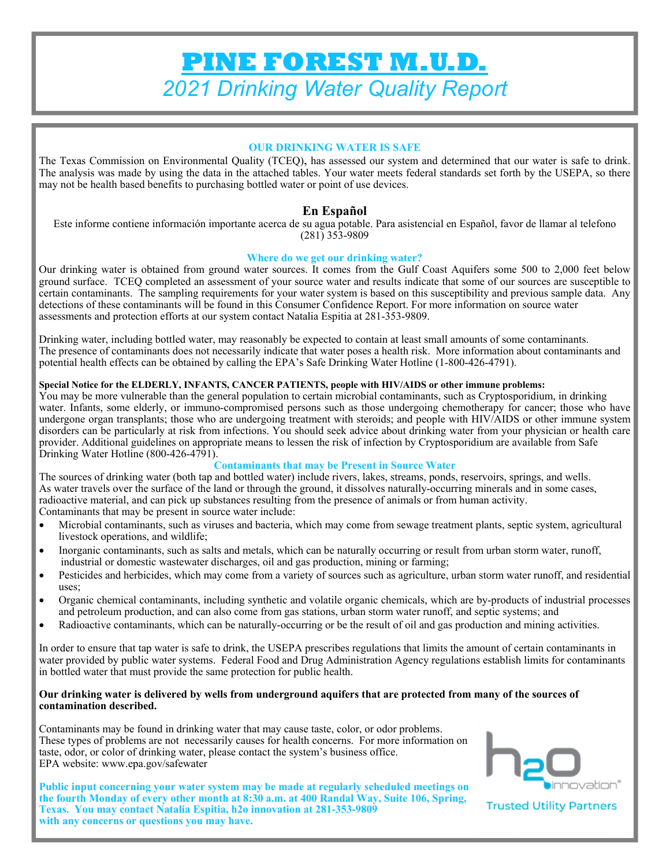# **PINE FOREST M.U.D.**  *2021 Drinking Water Quality Report*

#### **OUR DRINKING WATER IS SAFE**

The Texas Commission on Environmental Quality (TCEQ), has assessed our system and determined that our water is safe to drink. The analysis was made by using the data in the attached tables. Your water meets federal standards set forth by the USEPA, so there may not be health based benefits to purchasing bottled water or point of use devices.

### **En Español**

Este informe contiene información importante acerca de su agua potable. Para asistencial en Español, favor de llamar al telefono (281) 353-9809

#### **Where do we get our drinking water?**

Our drinking water is obtained from ground water sources. It comes from the Gulf Coast Aquifers some 500 to 2,000 feet below ground surface. TCEQ completed an assessment of your source water and results indicate that some of our sources are susceptible to certain contaminants. The sampling requirements for your water system is based on this susceptibility and previous sample data. Any detections of these contaminants will be found in this Consumer Confidence Report. For more information on source water assessments and protection efforts at our system contact Natalia Espitia at 281-353-9809.

Drinking water, including bottled water, may reasonably be expected to contain at least small amounts of some contaminants. The presence of contaminants does not necessarily indicate that water poses a health risk. More information about contaminants and potential health effects can be obtained by calling the EPA's Safe Drinking Water Hotline (1-800-426-4791).

#### **Special Notice for the ELDERLY, INFANTS, CANCER PATIENTS, people with HIV/AIDS or other immune problems:**

You may be more vulnerable than the general population to certain microbial contaminants, such as Cryptosporidium, in drinking water. Infants, some elderly, or immuno-compromised persons such as those undergoing chemotherapy for cancer; those who have undergone organ transplants; those who are undergoing treatment with steroids; and people with HIV/AIDS or other immune system disorders can be particularly at risk from infections. You should seek advice about drinking water from your physician or health care provider. Additional guidelines on appropriate means to lessen the risk of infection by Cryptosporidium are available from Safe Drinking Water Hotline (800-426-4791).

#### **Contaminants that may be Present in Source Water**

The sources of drinking water (both tap and bottled water) include rivers, lakes, streams, ponds, reservoirs, springs, and wells. As water travels over the surface of the land or through the ground, it dissolves naturally-occurring minerals and in some cases, radioactive material, and can pick up substances resulting from the presence of animals or from human activity. Contaminants that may be present in source water include:

- Microbial contaminants, such as viruses and bacteria, which may come from sewage treatment plants, septic system, agricultural livestock operations, and wildlife;
- Inorganic contaminants, such as salts and metals, which can be naturally occurring or result from urban storm water, runoff, industrial or domestic wastewater discharges, oil and gas production, mining or farming;
- Pesticides and herbicides, which may come from a variety of sources such as agriculture, urban storm water runoff, and residential uses;
- Organic chemical contaminants, including synthetic and volatile organic chemicals, which are by-products of industrial processes and petroleum production, and can also come from gas stations, urban storm water runoff, and septic systems; and
- Radioactive contaminants, which can be naturally-occurring or be the result of oil and gas production and mining activities.

In order to ensure that tap water is safe to drink, the USEPA prescribes regulations that limits the amount of certain contaminants in water provided by public water systems. Federal Food and Drug Administration Agency regulations establish limits for contaminants in bottled water that must provide the same protection for public health.

#### **Our drinking water is delivered by wells from underground aquifers that are protected from many of the sources of contamination described.**

Contaminants may be found in drinking water that may cause taste, color, or odor problems. These types of problems are not necessarily causes for health concerns. For more information on taste, odor, or color of drinking water, please contact the system's business office. EPA website: www.epa.gov/safewater





**Trusted Utility Partners**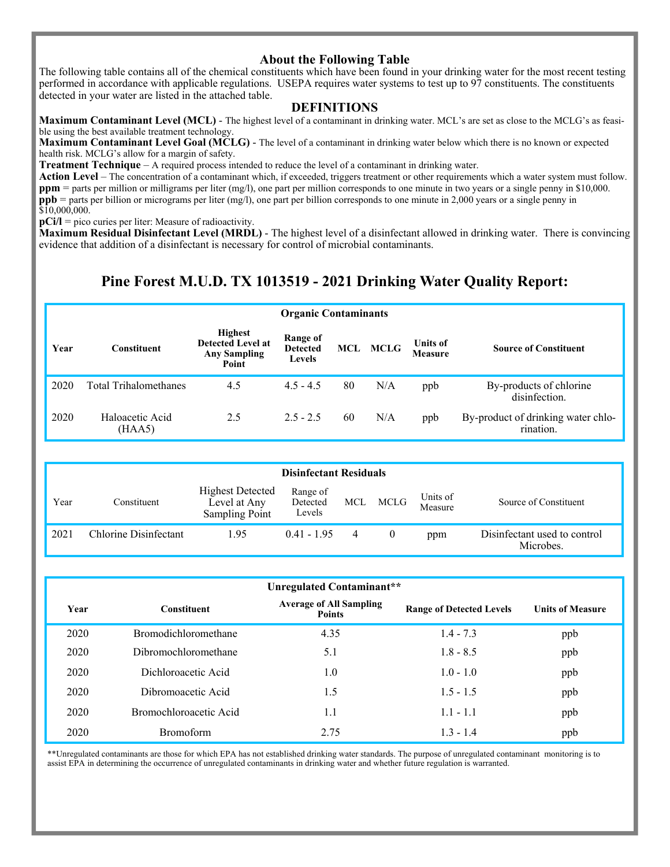#### **About the Following Table**

The following table contains all of the chemical constituents which have been found in your drinking water for the most recent testing performed in accordance with applicable regulations. USEPA requires water systems to test up to 97 constituents. The constituents detected in your water are listed in the attached table.

#### **DEFINITIONS**

**Maximum Contaminant Level (MCL)** - The highest level of a contaminant in drinking water. MCL's are set as close to the MCLG's as feasible using the best available treatment technology.

**Maximum Contaminant Level Goal (MCLG)** - The level of a contaminant in drinking water below which there is no known or expected health risk. MCLG's allow for a margin of safety.

**Treatment Technique** – A required process intended to reduce the level of a contaminant in drinking water.

Action Level – The concentration of a contaminant which, if exceeded, triggers treatment or other requirements which a water system must follow. **ppm** = parts per million or milligrams per liter (mg/l), one part per million corresponds to one minute in two years or a single penny in \$10,000. **ppb** = parts per billion or micrograms per liter (mg/l), one part per billion corresponds to one minute in 2,000 years or a single penny in \$10,000,000.

**pCi/l** = pico curies per liter: Measure of radioactivity.

**Maximum Residual Disinfectant Level (MRDL)** - The highest level of a disinfectant allowed in drinking water. There is convincing evidence that addition of a disinfectant is necessary for control of microbial contaminants.

## **Pine Forest M.U.D. TX 1013519 - 2021 Drinking Water Quality Report:**

|      | <b>Organic Contaminants</b>  |                                                                            |                                              |    |          |                            |                                                 |  |  |  |
|------|------------------------------|----------------------------------------------------------------------------|----------------------------------------------|----|----------|----------------------------|-------------------------------------------------|--|--|--|
| Year | <b>Constituent</b>           | <b>Highest</b><br><b>Detected Level at</b><br><b>Any Sampling</b><br>Point | Range of<br><b>Detected</b><br><b>Levels</b> |    | MCL MCLG | Units of<br><b>Measure</b> | <b>Source of Constituent</b>                    |  |  |  |
| 2020 | <b>Total Trihalomethanes</b> | 4.5                                                                        | $4.5 - 4.5$                                  | 80 | N/A      | ppb                        | By-products of chlorine<br>disinfection.        |  |  |  |
| 2020 | Haloacetic Acid<br>(HAA5)    | 2.5                                                                        | $2.5 - 2.5$                                  | 60 | N/A      | ppb                        | By-product of drinking water chlo-<br>rination. |  |  |  |

|      | <b>Disinfectant Residuals</b> |                                                                  |                                |   |          |                     |                                           |  |  |
|------|-------------------------------|------------------------------------------------------------------|--------------------------------|---|----------|---------------------|-------------------------------------------|--|--|
| Year | Constituent                   | <b>Highest Detected</b><br>Level at Any<br><b>Sampling Point</b> | Range of<br>Detected<br>Levels |   | MCL MCLG | Units of<br>Measure | Source of Constituent                     |  |  |
| 2021 | Chlorine Disinfectant         | 1.95                                                             | $0.41 - 1.95$                  | 4 |          | ppm                 | Disinfectant used to control<br>Microbes. |  |  |

|      | Unregulated Contaminant**   |                                                 |                                 |                         |  |  |  |  |  |  |
|------|-----------------------------|-------------------------------------------------|---------------------------------|-------------------------|--|--|--|--|--|--|
| Year | <b>Constituent</b>          | <b>Average of All Sampling</b><br><b>Points</b> | <b>Range of Detected Levels</b> | <b>Units of Measure</b> |  |  |  |  |  |  |
| 2020 | <b>Bromodichloromethane</b> | 4.35                                            | $1.4 - 7.3$                     | ppb                     |  |  |  |  |  |  |
| 2020 | Dibromochloromethane        | 5.1                                             | $1.8 - 8.5$                     | ppb                     |  |  |  |  |  |  |
| 2020 | Dichloroacetic Acid         | 1.0                                             | $1.0 - 1.0$                     | ppb                     |  |  |  |  |  |  |
| 2020 | Dibromoacetic Acid          | 1.5                                             | $1.5 - 1.5$                     | ppb                     |  |  |  |  |  |  |
| 2020 | Bromochloroacetic Acid      | 1.1                                             | $1.1 - 1.1$                     | ppb                     |  |  |  |  |  |  |
| 2020 | <b>Bromoform</b>            | 2.75                                            | $1.3 - 1.4$                     | ppb                     |  |  |  |  |  |  |

\*\*Unregulated contaminants are those for which EPA has not established drinking water standards. The purpose of unregulated contaminant monitoring is to assist EPA in determining the occurrence of unregulated contaminants in drinking water and whether future regulation is warranted.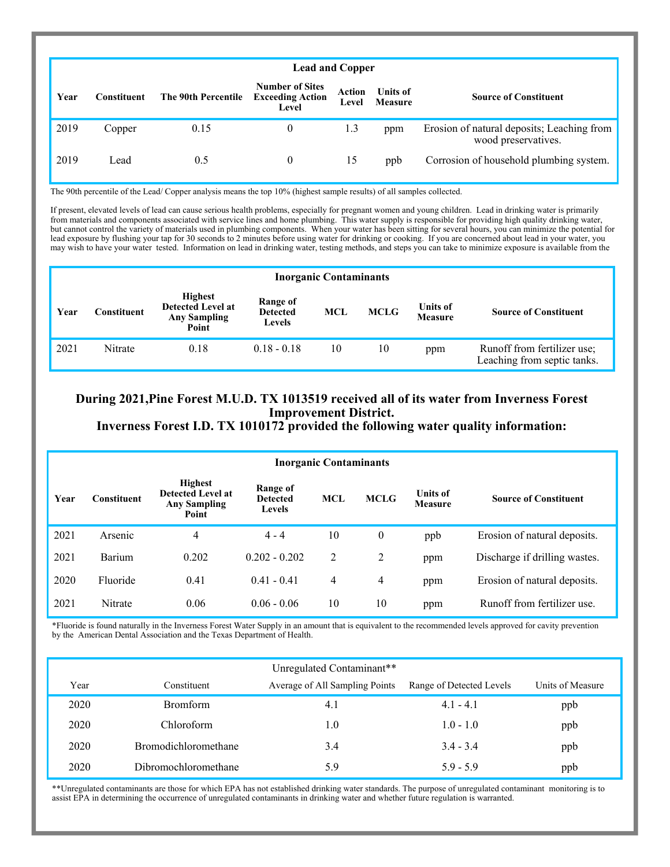| <b>Lead and Copper</b> |             |                     |                                                            |                 |                            |                                                                   |  |  |  |
|------------------------|-------------|---------------------|------------------------------------------------------------|-----------------|----------------------------|-------------------------------------------------------------------|--|--|--|
| Year                   | Constituent | The 90th Percentile | <b>Number of Sites</b><br><b>Exceeding Action</b><br>Level | Action<br>Level | <b>Units of</b><br>Measure | <b>Source of Constituent</b>                                      |  |  |  |
| 2019                   | Copper      | 0.15                | $\mathbf{0}$                                               | 1.3             | ppm                        | Erosion of natural deposits; Leaching from<br>wood preservatives. |  |  |  |
| 2019                   | Lead        | 0.5                 | $\mathbf{0}$                                               | 15              | ppb                        | Corrosion of household plumbing system.                           |  |  |  |

The 90th percentile of the Lead/ Copper analysis means the top 10% (highest sample results) of all samples collected.

If present, elevated levels of lead can cause serious health problems, especially for pregnant women and young children. Lead in drinking water is primarily from materials and components associated with service lines and home plumbing. This water supply is responsible for providing high quality drinking water, but cannot control the variety of materials used in plumbing components. When your water has been sitting for several hours, you can minimize the potential for lead exposure by flushing your tap for 30 seconds to 2 minutes before using water for drinking or cooking. If you are concerned about lead in your water, you may wish to have your water tested. Information on lead in drinking water, testing methods, and steps you can take to minimize exposure is available from the

|      | <b>Inorganic Contaminants</b> |                                                                            |                                              |            |             |                                   |                                                            |  |  |
|------|-------------------------------|----------------------------------------------------------------------------|----------------------------------------------|------------|-------------|-----------------------------------|------------------------------------------------------------|--|--|
| Year | Constituent                   | <b>Highest</b><br><b>Detected Level at</b><br><b>Any Sampling</b><br>Point | Range of<br><b>Detected</b><br><b>Levels</b> | <b>MCL</b> | <b>MCLG</b> | <b>Units of</b><br><b>Measure</b> | <b>Source of Constituent</b>                               |  |  |
| 2021 | Nitrate                       | 0.18                                                                       | $0.18 - 0.18$                                | 10         | 10          | ppm                               | Runoff from fertilizer use;<br>Leaching from septic tanks. |  |  |

## **During 2021,Pine Forest M.U.D. TX 1013519 received all of its water from Inverness Forest Improvement District.**

**Inverness Forest I.D. TX 1010172 provided the following water quality information:** 

|      | <b>Inorganic Contaminants</b> |                                                                            |                                       |            |                |                                   |                               |  |  |  |
|------|-------------------------------|----------------------------------------------------------------------------|---------------------------------------|------------|----------------|-----------------------------------|-------------------------------|--|--|--|
| Year | <b>Constituent</b>            | <b>Highest</b><br><b>Detected Level at</b><br><b>Any Sampling</b><br>Point | Range of<br><b>Detected</b><br>Levels | <b>MCL</b> | <b>MCLG</b>    | <b>Units of</b><br><b>Measure</b> | <b>Source of Constituent</b>  |  |  |  |
| 2021 | Arsenic                       | 4                                                                          | $4 - 4$                               | 10         | $\theta$       | ppb                               | Erosion of natural deposits.  |  |  |  |
| 2021 | Barium                        | 0.202                                                                      | $0.202 - 0.202$                       | 2          | 2              | ppm                               | Discharge if drilling wastes. |  |  |  |
| 2020 | Fluoride                      | 0.41                                                                       | $0.41 - 0.41$                         | 4          | $\overline{4}$ | ppm                               | Erosion of natural deposits.  |  |  |  |
| 2021 | Nitrate                       | 0.06                                                                       | $0.06 - 0.06$                         | 10         | 10             | ppm                               | Runoff from fertilizer use.   |  |  |  |

\*Fluoride is found naturally in the Inverness Forest Water Supply in an amount that is equivalent to the recommended levels approved for cavity prevention by the American Dental Association and the Texas Department of Health.

|      | Unregulated Contaminant**   |                                |                          |                  |  |  |  |  |  |  |
|------|-----------------------------|--------------------------------|--------------------------|------------------|--|--|--|--|--|--|
| Year | Constituent                 | Average of All Sampling Points | Range of Detected Levels | Units of Measure |  |  |  |  |  |  |
| 2020 | <b>Bromform</b>             | 4.1                            | $4.1 - 4.1$              | ppb              |  |  |  |  |  |  |
| 2020 | Chloroform                  | 1.0                            | $1.0 - 1.0$              | ppb              |  |  |  |  |  |  |
| 2020 | <b>Bromodichloromethane</b> | 3.4                            | $3.4 - 3.4$              | ppb              |  |  |  |  |  |  |
| 2020 | Dibromochloromethane        | 5.9                            | $5.9 - 5.9$              | ppb              |  |  |  |  |  |  |

\*\*Unregulated contaminants are those for which EPA has not established drinking water standards. The purpose of unregulated contaminant monitoring is to assist EPA in determining the occurrence of unregulated contaminants in drinking water and whether future regulation is warranted.